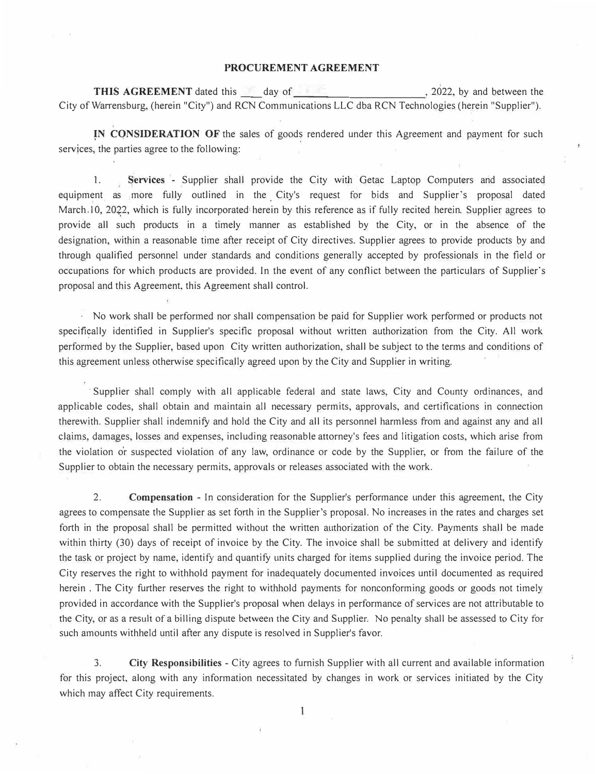## **PROCUREMENT AGREEMENT**

**THIS AGREEMENT** dated this day of the set of the set of the set of the set of the set of the set of the set of the set of the set of the set of the set of the set of the set of the set of the set of the set of the set of City of War<sup>r</sup> ensburg, (herein "City") and RCN Communications LLC dba RCN Technologies (herein "Supplier").

**IN CONSIDERATION OF** the sales of goods rendered under this Agreement and payment for such services, the parties agree to the following:

1. **Services** - Supplier shall provide the City with Getac Laptop Computers and associated equipment as more fully outlined in the City's request for bids and Supplier's proposal dated March. 10, 2022, which is fully incorporated herein by this reference as if fully recited herein. Supplier agrees to provide all such products in a timely manner as established by the City, or in the absence of the designation, within a reasonable time after receipt of City directives. Supplier agrees to provide products by and through qualified personnel under standards and conditions generally accepted by professionals in the field or occupations for which products are provided. In the event of any conflict between the particulars of Supplier's proposal and this Agreement, this Agreement shall control.

· No work shall be performed nor shall compensation be paid for Supplier work performed or products not specifically identified in Supplier's specific proposal without written authorization from the City. All work performed by the Supplier, based upon City written authorization, shall be subject to the terms and conditions of this agreement unless otherwise specifically agreed upon by the City and Supplier in writing.

· Supplier shall comply with all applicable federal and state laws, City and County ordinances, and appticable codes, shall obtain and maintain all necessary permits, approvals, and certifications in connection therewith. Supplier shall indemnify and hold the City and all its personnel harmless from and against any and all claims, damages, losses and expenses, including reasonable attorney's fees and litigation costs, which arise from the violation o'r suspected violation of any law, ordinance or code by the Supplier, or from the failure of the Supplier to obtain the necessary permits, approvals or releases associated with the work.

2. **Compensation** - In consideration for the Supplier's performance under this agreement, the City agrees to compensate the Supplier as set forth in the Supplier's proposal. No increases in the rates and charges set forth in the proposal shall be permitted without the written authorization of the City. Payments shall be made within thirty (30) days of receipt of invoice by the City. The invoice shall be submitted at delivery and identify the task or project by name, identify and quantify units charged for items supplied during the invoice period. The City reserves the right to withhold payment for inadequately documented invoices until documented as required herein . The City further reserves the right to withhold payments for nonconforming goods or goods not timely provided in accordance with the Supplier's proposal when delays in performance of services are not attributable to the City, or as a result of a billing dispute between the City and Supplier. No penalty shall be assessed to City for such amounts withheld until after any dispute is resolved in Supplier's favor.

3. **City Responsibilities** - City agrees to furnish Supplier with all current and available information for this project, along with any information necessitated by changes in work or services initiated by the City which may affect City requirements.

1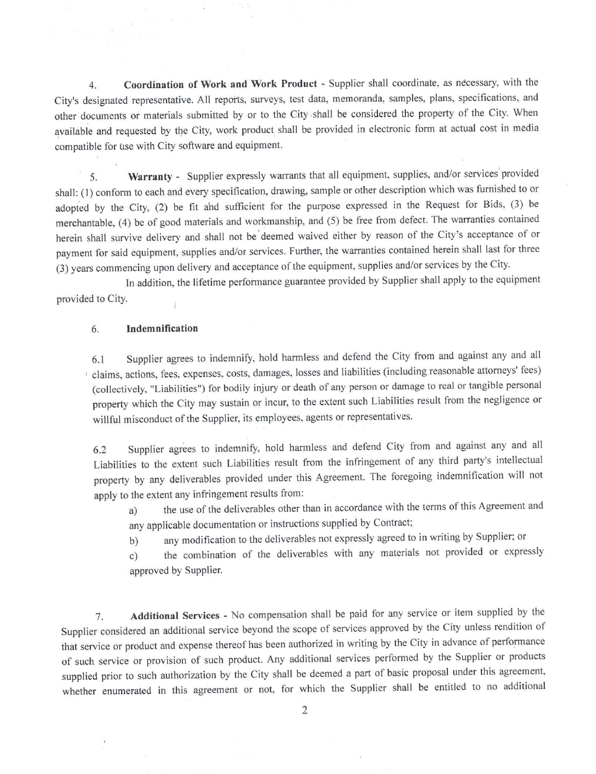Coordination of Work and Work Product - Supplier shall coordinate, as necessary, with the  $4.$ City's designated representative. All reports, surveys, test data, memoranda, samples, plans, specifications, and other documents or materials submitted by or to the City shall be considered the property of the City. When available and requested by the City, work product shall be provided in electronic form at actual cost in media compatible for use with City software and equipment.

Warranty - Supplier expressly warrants that all equipment, supplies, and/or services provided  $\overline{\mathsf{S}}$ . shall: (1) conform to each and every specification, drawing, sample or other description which was furnished to or adopted by the City, (2) be fit and sufficient for the purpose expressed in the Request for Bids, (3) be merchantable, (4) be of good materials and workmanship, and (5) be free from defect. The warranties contained herein shall survive delivery and shall not be deemed waived either by reason of the City's acceptance of or payment for said equipment, supplies and/or services. Further, the warranties contained herein shall last for three (3) years commencing upon delivery and acceptance of the equipment, supplies and/or services by the City.

In addition, the lifetime performance guarantee provided by Supplier shall apply to the equipment provided to City.

## 6. Indemnification

Supplier agrees to indemnify, hold harmless and defend the City from and against any and all 6.1 claims, actions, fees, expenses, costs, damages, losses and liabilities (including reasonable attorneys' fees) (collectively, "Liabilities") for bodily injury or death of any person or damage to real or tangible personal property which the City may sustain or incur, to the extent such Liabilities result from the negligence or willful misconduct of the Supplier, its employees, agents or representatives.

Supplier agrees to indemnify, hold harmless and defend City from and against any and all 6.2 Liabilities to the extent such Liabilities result from the infringement of any third party's intellectual property by any deliverables provided under this Agreement. The foregoing indemnification will not apply to the extent any infringement results from:

the use of the deliverables other than in accordance with the terms of this Agreement and a) any applicable documentation or instructions supplied by Contract;

any modification to the deliverables not expressly agreed to in writing by Supplier; or  $b)$ 

the combination of the deliverables with any materials not provided or expressly  $c)$ approved by Supplier.

Additional Services - No compensation shall be paid for any service or item supplied by the 7. Supplier considered an additional service beyond the scope of services approved by the City unless rendition of that service or product and expense thereof has been authorized in writing by the City in advance of performance of such service or provision of such product. Any additional services performed by the Supplier or products supplied prior to such authorization by the City shall be deemed a part of basic proposal under this agreement, whether enumerated in this agreement or not, for which the Supplier shall be entitled to no additional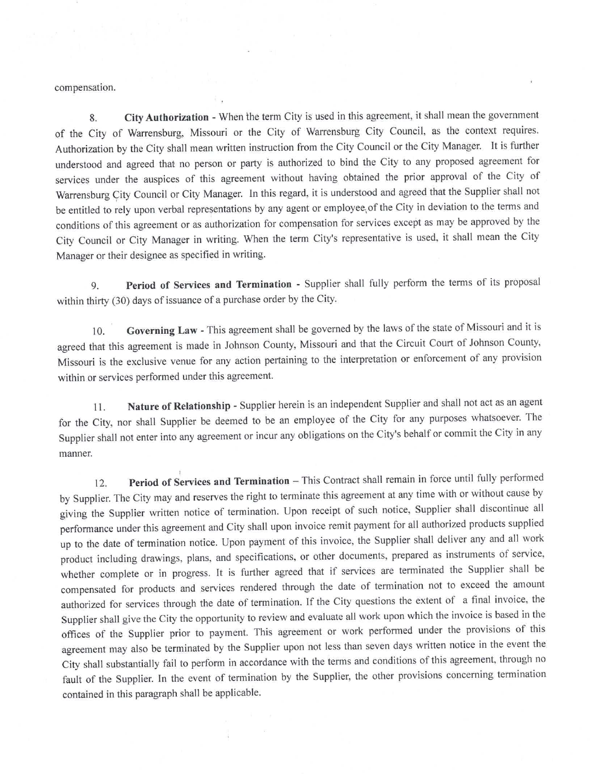compensation.

City Authorization - When the term City is used in this agreement, it shall mean the government 8. of the City of Warrensburg, Missouri or the City of Warrensburg City Council, as the context requires. Authorization by the City shall mean written instruction from the City Council or the City Manager. It is further understood and agreed that no person or party is authorized to bind the City to any proposed agreement for services under the auspices of this agreement without having obtained the prior approval of the City of Warrensburg City Council or City Manager. In this regard, it is understood and agreed that the Supplier shall not be entitled to rely upon verbal representations by any agent or employee of the City in deviation to the terms and conditions of this agreement or as authorization for compensation for services except as may be approved by the City Council or City Manager in writing. When the term City's representative is used, it shall mean the City Manager or their designee as specified in writing.

Period of Services and Termination - Supplier shall fully perform the terms of its proposal 9. within thirty (30) days of issuance of a purchase order by the City.

Governing Law - This agreement shall be governed by the laws of the state of Missouri and it is  $10<sup>1</sup>$ agreed that this agreement is made in Johnson County, Missouri and that the Circuit Court of Johnson County, Missouri is the exclusive venue for any action pertaining to the interpretation or enforcement of any provision within or services performed under this agreement.

Nature of Relationship - Supplier herein is an independent Supplier and shall not act as an agent 11. for the City, nor shall Supplier be deemed to be an employee of the City for any purposes whatsoever. The Supplier shall not enter into any agreement or incur any obligations on the City's behalf or commit the City in any manner.

Period of Services and Termination - This Contract shall remain in force until fully performed  $12.$ by Supplier. The City may and reserves the right to terminate this agreement at any time with or without cause by giving the Supplier written notice of termination. Upon receipt of such notice, Supplier shall discontinue all performance under this agreement and City shall upon invoice remit payment for all authorized products supplied up to the date of termination notice. Upon payment of this invoice, the Supplier shall deliver any and all work product including drawings, plans, and specifications, or other documents, prepared as instruments of service, whether complete or in progress. It is further agreed that if services are terminated the Supplier shall be compensated for products and services rendered through the date of termination not to exceed the amount authorized for services through the date of termination. If the City questions the extent of a final invoice, the Supplier shall give the City the opportunity to review and evaluate all work upon which the invoice is based in the offices of the Supplier prior to payment. This agreement or work performed under the provisions of this agreement may also be terminated by the Supplier upon not less than seven days written notice in the event the City shall substantially fail to perform in accordance with the terms and conditions of this agreement, through no fault of the Supplier. In the event of termination by the Supplier, the other provisions concerning termination contained in this paragraph shall be applicable.